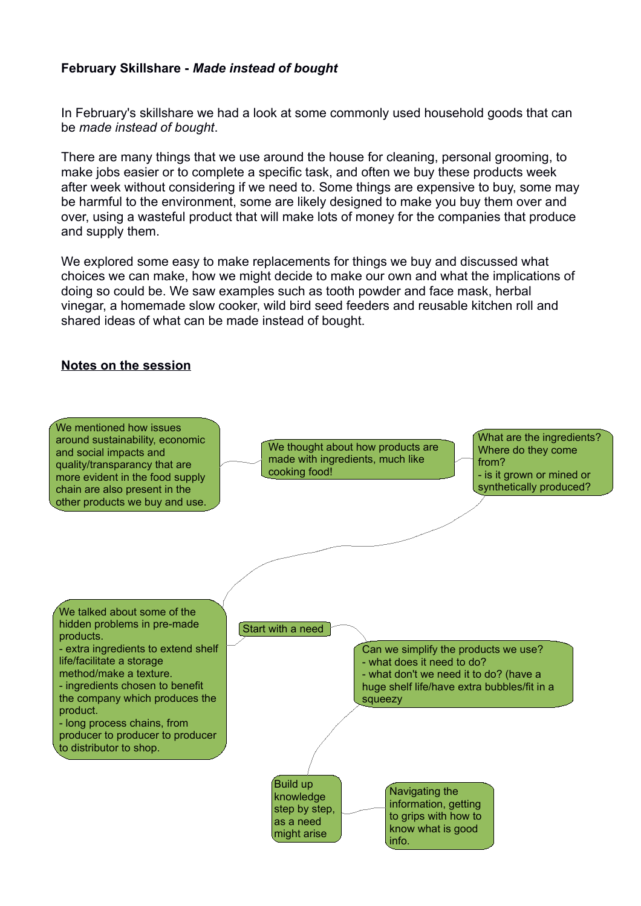## **February Skillshare -** *Made instead of bought*

In February's skillshare we had a look at some commonly used household goods that can be *made instead of bought*.

There are many things that we use around the house for cleaning, personal grooming, to make jobs easier or to complete a specific task, and often we buy these products week after week without considering if we need to. Some things are expensive to buy, some may be harmful to the environment, some are likely designed to make you buy them over and over, using a wasteful product that will make lots of money for the companies that produce and supply them.

We explored some easy to make replacements for things we buy and discussed what choices we can make, how we might decide to make our own and what the implications of doing so could be. We saw examples such as tooth powder and face mask, herbal vinegar, a homemade slow cooker, wild bird seed feeders and reusable kitchen roll and shared ideas of what can be made instead of bought.

## **Notes on the session**

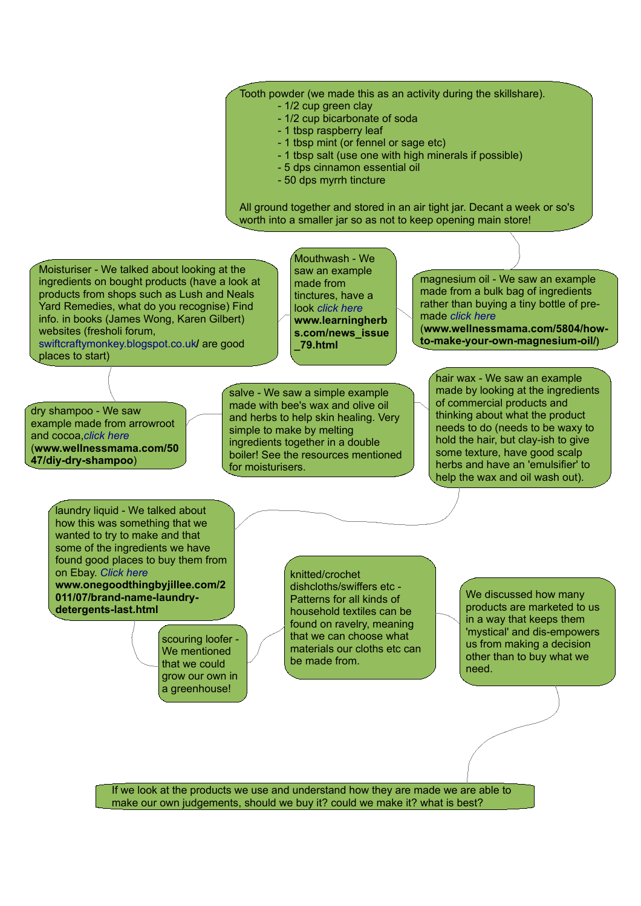## Tooth powder (we made this as an activity during the skillshare).

- 1/2 cup green clay
	- 1/2 cup bicarbonate of soda
	- 1 tbsp raspberry leaf
	- 1 tbsp mint (or fennel or sage etc)
	- 1 tbsp salt (use one with high minerals if possible)
	- 5 dps cinnamon essential oil
	- 50 dps myrrh tincture

All ground together and stored in an air tight jar. Decant a week or so's worth into a smaller jar so as not to keep opening main store!

Moisturiser - We talked about looking at the ingredients on bought products (have a look at products from shops such as Lush and Neals Yard Remedies, what do you recognise) Find info. in books (James Wong, Karen Gilbert) websites (fresholi forum,

[swiftcraftymonkey.blogspot.co.uk](http://swiftcraftymonkey.blogspot.co.uk/)**/** are good places to start)

Mouthwash - We saw an example made from tinctures, have a look *[click here](http://www.learningherbs.com/news_issue_79.html)* **www.learningherb s.com/news\_issue \_79.html**

magnesium oil - We saw an example made from a bulk bag of ingredients rather than buying a tiny bottle of premade *[click here](http://www.wellnessmama.com/5804/how-to-make-your-own-magnesium-oil/)* (**www.wellnessmama.com/5804/how-**

**to-make-your-own-magnesium-oil/)**

dry shampoo - We saw example made from arrowroot and cocoa,*[click here](http://www.wellnessmama.com/5047/diy-dry-shampoo)* (**www.wellnessmama.com/50 47/diy-dry-shampoo**)

salve - We saw a simple example made with bee's wax and olive oil and herbs to help skin healing. Very simple to make by melting ingredients together in a double boiler! See the resources mentioned for moisturisers.

hair wax - We saw an example made by looking at the ingredients of commercial products and thinking about what the product needs to do (needs to be waxy to hold the hair, but clay-ish to give some texture, have good scalp herbs and have an 'emulsifier' to help the wax and oil wash out).

laundry liquid - We talked about how this was something that we wanted to try to make and that some of the ingredients we have found good places to buy them from on Ebay. *[Click here](http://www.onegoodthingbyjillee.com/2011/07/brand-name-laundry-detergents-last.html)*

**www.onegoodthingbyjillee.com/2 011/07/brand-name-laundrydetergents-last.html**

> scouring loofer - We mentioned that we could grow our own in a greenhouse!

knitted/crochet dishcloths/swiffers etc - Patterns for all kinds of household textiles can be found on ravelry, meaning that we can choose what materials our cloths etc can be made from.

We discussed how many products are marketed to us in a way that keeps them 'mystical' and dis-empowers us from making a decision other than to buy what we need.

If we look at the products we use and understand how they are made we are able to make our own judgements, should we buy it? could we make it? what is best?